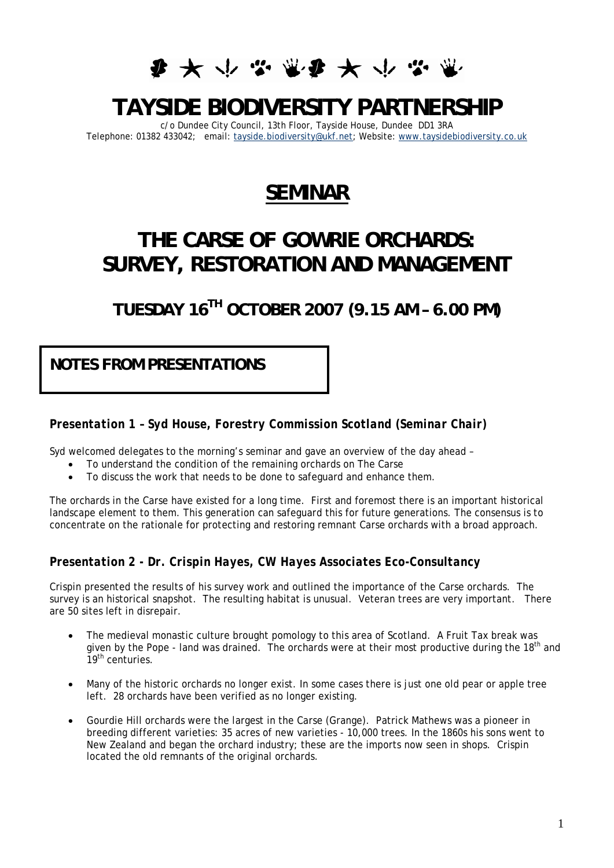# **少女业学业少女业务**

# **TAYSIDE BIODIVERSITY PARTNERSHIP**

c/o Dundee City Council, 13th Floor, Tayside House, Dundee DD1 3RA Telephone: 01382 433042; email: [tayside.biodiversity@ukf.net](mailto:tayside.biodiversity@ukf.net); Website: [www.taysidebiodiversity.co.uk](http://www.taysidebiodiversity.co.uk/)

### **SEMINAR**

## **THE CARSE OF GOWRIE ORCHARDS: SURVEY, RESTORATION AND MANAGEMENT**

**TUESDAY 16TH OCTOBER 2007 (9.15 AM – 6.00 PM)** 

**NOTES FROM PRESENTATIONS** 

*Presentation 1 – Syd House, Forestry Commission Scotland (Seminar Chair)* 

Syd welcomed delegates to the morning's seminar and gave an overview of the day ahead –

- To understand the condition of the remaining orchards on The Carse
- To discuss the work that needs to be done to safeguard and enhance them.

The orchards in the Carse have existed for a long time. First and foremost there is an important historical landscape element to them. This generation can safeguard this for future generations. The consensus is to concentrate on the rationale for protecting and restoring remnant Carse orchards with a broad approach.

#### *Presentation 2 - Dr. Crispin Hayes, CW Hayes Associates Eco-Consultancy*

Crispin presented the results of his survey work and outlined the importance of the Carse orchards. The survey is an historical snapshot. The resulting habitat is unusual. Veteran trees are very important. There are 50 sites left in disrepair.

- The medieval monastic culture brought pomology to this area of Scotland. A Fruit Tax break was given by the Pope - land was drained. The orchards were at their most productive during the 18<sup>th</sup> and 19<sup>th</sup> centuries.
- Many of the historic orchards no longer exist. In some cases there is just one old pear or apple tree left. 28 orchards have been verified as no longer existing.
- Gourdie Hill orchards were the largest in the Carse (Grange). Patrick Mathews was a pioneer in breeding different varieties: 35 acres of new varieties - 10,000 trees. In the 1860s his sons went to New Zealand and began the orchard industry; these are the imports now seen in shops. Crispin located the old remnants of the original orchards.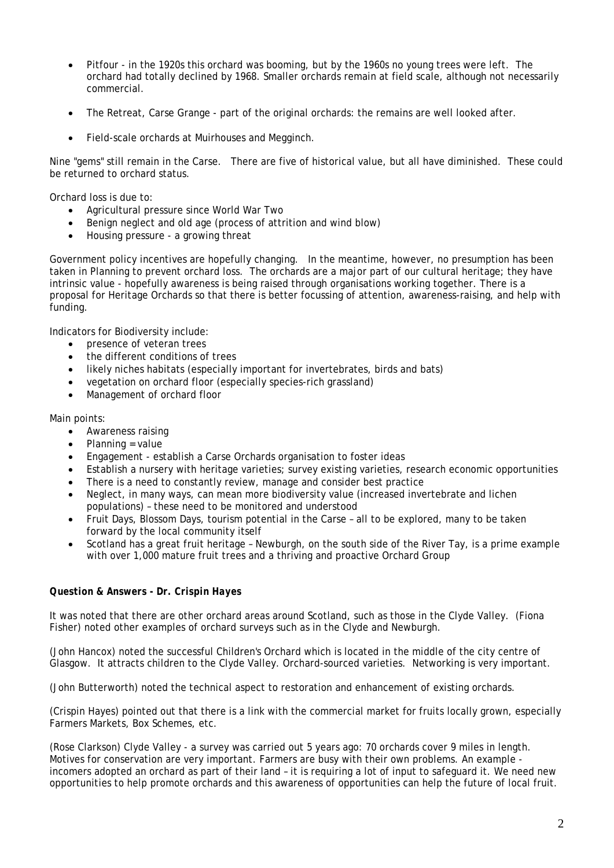- Pitfour in the 1920s this orchard was booming, but by the 1960s no young trees were left. The orchard had totally declined by 1968. Smaller orchards remain at field scale, although not necessarily commercial.
- The Retreat, Carse Grange part of the original orchards: the remains are well looked after.
- Field-scale orchards at Muirhouses and Megginch.

Nine "gems" still remain in the Carse. There are five of historical value, but all have diminished. These could be returned to orchard status.

Orchard loss is due to:

- Agricultural pressure since World War Two
- Benign neglect and old age (process of attrition and wind blow)
- Housing pressure a growing threat

Government policy incentives are hopefully changing. In the meantime, however, no presumption has been taken in Planning to prevent orchard loss. The orchards are a major part of our cultural heritage; they have intrinsic value - hopefully awareness is being raised through organisations working together. There is a proposal for Heritage Orchards so that there is better focussing of attention, awareness-raising, and help with funding.

Indicators for Biodiversity include:

- presence of veteran trees
- the different conditions of trees
- likely niches habitats (especially important for invertebrates, birds and bats)
- vegetation on orchard floor (especially species-rich grassland)
- Management of orchard floor

#### Main points:

- Awareness raising
- Planning = value
- Engagement establish a Carse Orchards organisation to foster ideas
- Establish a nursery with heritage varieties; survey existing varieties, research economic opportunities
- There is a need to constantly review, manage and consider best practice
- Neglect, in many ways, can mean more biodiversity value (increased invertebrate and lichen populations) – these need to be monitored and understood
- Fruit Days, Blossom Days, tourism potential in the Carse all to be explored, many to be taken forward by the local community itself
- Scotland has a great fruit heritage Newburgh, on the south side of the River Tay, is a prime example with over 1,000 mature fruit trees and a thriving and proactive Orchard Group

#### *Question & Answers - Dr. Crispin Hayes*

It was noted that there are other orchard areas around Scotland, such as those in the Clyde Valley. (Fiona Fisher) noted other examples of orchard surveys such as in the Clyde and Newburgh.

(John Hancox) noted the successful Children's Orchard which is located in the middle of the city centre of Glasgow. It attracts children to the Clyde Valley. Orchard-sourced varieties. Networking is very important.

(John Butterworth) noted the technical aspect to restoration and enhancement of existing orchards.

(Crispin Hayes) pointed out that there is a link with the commercial market for fruits locally grown, especially Farmers Markets, Box Schemes, etc.

(Rose Clarkson) Clyde Valley - a survey was carried out 5 years ago: 70 orchards cover 9 miles in length. Motives for conservation are very important. Farmers are busy with their own problems. An example incomers adopted an orchard as part of their land – it is requiring a lot of input to safeguard it. We need new opportunities to help promote orchards and this awareness of opportunities can help the future of local fruit.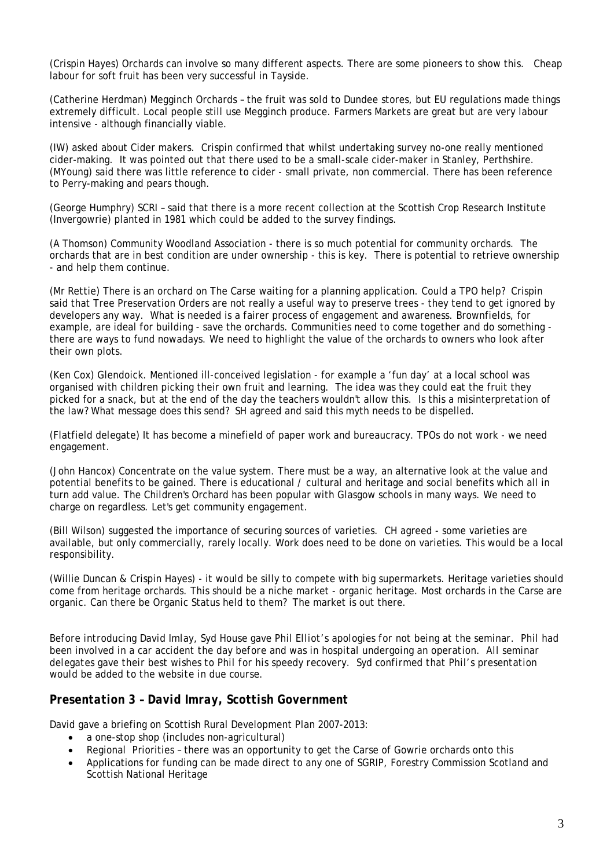(Crispin Hayes) Orchards can involve so many different aspects. There are some pioneers to show this. Cheap labour for soft fruit has been very successful in Tayside.

(Catherine Herdman) Megginch Orchards – the fruit was sold to Dundee stores, but EU regulations made things extremely difficult. Local people still use Megginch produce. Farmers Markets are great but are very labour intensive - although financially viable.

(IW) asked about Cider makers. Crispin confirmed that whilst undertaking survey no-one really mentioned cider-making. It was pointed out that there used to be a small-scale cider-maker in Stanley, Perthshire. (MYoung) said there was little reference to cider - small private, non commercial. There has been reference to Perry-making and pears though.

(George Humphry) SCRI – said that there is a more recent collection at the Scottish Crop Research Institute (Invergowrie) planted in 1981 which could be added to the survey findings.

(A Thomson) Community Woodland Association - there is so much potential for community orchards. The orchards that are in best condition are under ownership - this is key. There is potential to retrieve ownership - and help them continue.

(Mr Rettie) There is an orchard on The Carse waiting for a planning application. Could a TPO help? Crispin said that Tree Preservation Orders are not really a useful way to preserve trees - they tend to get ignored by developers any way. What is needed is a fairer process of engagement and awareness. Brownfields, for example, are ideal for building - save the orchards. Communities need to come together and do something there are ways to fund nowadays. We need to highlight the value of the orchards to owners who look after their own plots.

(Ken Cox) Glendoick. Mentioned ill-conceived legislation - for example a 'fun day' at a local school was organised with children picking their own fruit and learning. The idea was they could eat the fruit they picked for a snack, but at the end of the day the teachers wouldn't allow this. Is this a misinterpretation of the law? What message does this send? SH agreed and said this myth needs to be dispelled.

(Flatfield delegate) It has become a minefield of paper work and bureaucracy. TPOs do not work - we need engagement.

(John Hancox) Concentrate on the value system. There must be a way, an alternative look at the value and potential benefits to be gained. There is educational / cultural and heritage and social benefits which all in turn add value. The Children's Orchard has been popular with Glasgow schools in many ways. We need to charge on regardless. Let's get community engagement.

(Bill Wilson) suggested the importance of securing sources of varieties. CH agreed - some varieties are available, but only commercially, rarely locally. Work does need to be done on varieties. This would be a local responsibility.

(Willie Duncan & Crispin Hayes) - it would be silly to compete with big supermarkets. Heritage varieties should come from heritage orchards. This should be a niche market - organic heritage. Most orchards in the Carse are organic. Can there be Organic Status held to them? The market is out there.

*Before introducing David Imlay, Syd House gave Phil Elliot's apologies for not being at the seminar. Phil had been involved in a car accident the day before and was in hospital undergoing an operation. All seminar delegates gave their best wishes to Phil for his speedy recovery. Syd confirmed that Phil's presentation would be added to the website in due course.* 

#### *Presentation 3 – David Imray, Scottish Government*

David gave a briefing on Scottish Rural Development Plan 2007-2013:

- a one-stop shop (includes non-agricultural)
- Regional Priorities there was an opportunity to get the Carse of Gowrie orchards onto this
- Applications for funding can be made direct to any one of SGRIP, Forestry Commission Scotland and Scottish National Heritage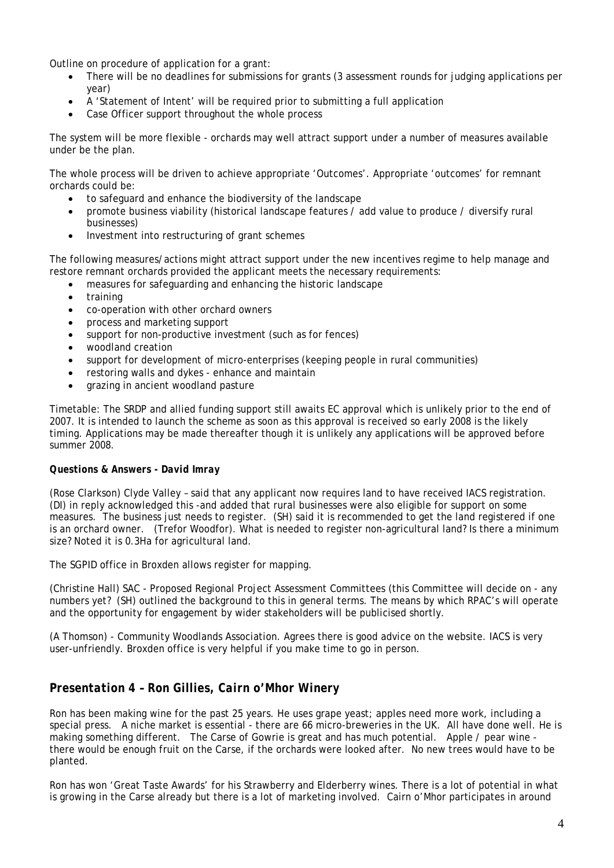Outline on procedure of application for a grant:

- There will be no deadlines for submissions for grants (3 assessment rounds for judging applications per year)
- A 'Statement of Intent' will be required prior to submitting a full application
- Case Officer support throughout the whole process

The system will be more flexible - orchards may well attract support under a number of measures available under be the plan.

The whole process will be driven to achieve appropriate 'Outcomes'. Appropriate 'outcomes' for remnant orchards could be:

- to safeguard and enhance the biodiversity of the landscape
- promote business viability (historical landscape features / add value to produce / diversify rural businesses)
- Investment into restructuring of grant schemes

The following measures/actions might attract support under the new incentives regime to help manage and restore remnant orchards provided the applicant meets the necessary requirements:

- measures for safeguarding and enhancing the historic landscape
- training
- co-operation with other orchard owners
- process and marketing support
- support for non-productive investment (such as for fences)
- woodland creation
- support for development of micro-enterprises (keeping people in rural communities)
- restoring walls and dykes enhance and maintain
- grazing in ancient woodland pasture

Timetable: The SRDP and allied funding support still awaits EC approval which is unlikely prior to the end of 2007. It is intended to launch the scheme as soon as this approval is received so early 2008 is the likely timing. Applications may be made thereafter though it is unlikely any applications will be approved before summer 2008.

#### *Questions & Answers - David Imray*

(Rose Clarkson) Clyde Valley – said that any applicant now requires land to have received IACS registration. (DI) in reply acknowledged this -and added that rural businesses were also eligible for support on some measures. The business just needs to register. (SH) said it is recommended to get the land registered if one is an orchard owner. (Trefor Woodfor). What is needed to register non-agricultural land? Is there a minimum size? Noted it is 0.3Ha for agricultural land.

The SGPID office in Broxden allows register for mapping.

(Christine Hall) SAC - Proposed Regional Project Assessment Committees (this Committee will decide on - any numbers yet? (SH) outlined the background to this in general terms. The means by which RPAC's will operate and the opportunity for engagement by wider stakeholders will be publicised shortly.

(A Thomson) - Community Woodlands Association. Agrees there is good advice on the website. IACS is very user-unfriendly. Broxden office is very helpful if you make time to go in person.

#### *Presentation 4 – Ron Gillies, Cairn o'Mhor Winery*

Ron has been making wine for the past 25 years. He uses grape yeast; apples need more work, including a special press. A niche market is essential - there are 66 micro-breweries in the UK. All have done well. He is making something different. The Carse of Gowrie is great and has much potential. Apple / pear wine there would be enough fruit on the Carse, if the orchards were looked after. No new trees would have to be planted.

Ron has won 'Great Taste Awards' for his Strawberry and Elderberry wines. There is a lot of potential in what is growing in the Carse already but there is a lot of marketing involved. Cairn o'Mhor participates in around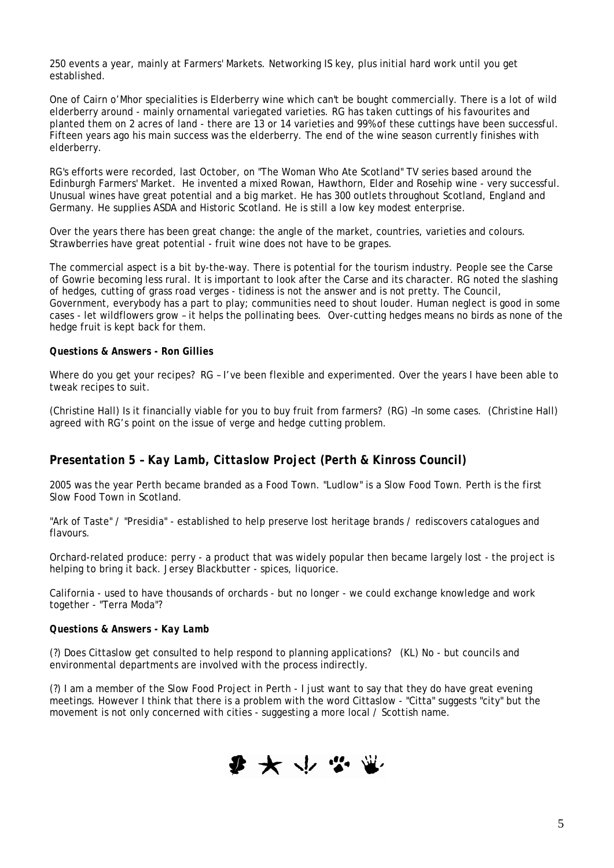250 events a year, mainly at Farmers' Markets. Networking IS key, plus initial hard work until you get established.

One of Cairn o'Mhor specialities is Elderberry wine which can't be bought commercially. There is a lot of wild elderberry around - mainly ornamental variegated varieties. RG has taken cuttings of his favourites and planted them on 2 acres of land - there are 13 or 14 varieties and 99% of these cuttings have been successful. Fifteen years ago his main success was the elderberry. The end of the wine season currently finishes with elderberry.

RG's efforts were recorded, last October, on "The Woman Who Ate Scotland" TV series based around the Edinburgh Farmers' Market. He invented a mixed Rowan, Hawthorn, Elder and Rosehip wine - very successful. Unusual wines have great potential and a big market. He has 300 outlets throughout Scotland, England and Germany. He supplies ASDA and Historic Scotland. He is still a low key modest enterprise.

Over the years there has been great change: the angle of the market, countries, varieties and colours. Strawberries have great potential - fruit wine does not have to be grapes.

The commercial aspect is a bit by-the-way. There is potential for the tourism industry. People see the Carse of Gowrie becoming less rural. It is important to look after the Carse and its character. RG noted the slashing of hedges, cutting of grass road verges - tidiness is not the answer and is not pretty. The Council, Government, everybody has a part to play; communities need to shout louder. Human neglect is good in some cases - let wildflowers grow – it helps the pollinating bees. Over-cutting hedges means no birds as none of the hedge fruit is kept back for them.

#### *Questions & Answers - Ron Gillies*

Where do you get your recipes? RG – I've been flexible and experimented. Over the years I have been able to tweak recipes to suit.

(Christine Hall) Is it financially viable for you to buy fruit from farmers? (RG) –In some cases. (Christine Hall) agreed with RG's point on the issue of verge and hedge cutting problem.

#### *Presentation 5 – Kay Lamb, Cittaslow Project (Perth & Kinross Council)*

2005 was the year Perth became branded as a Food Town. "Ludlow" is a Slow Food Town. Perth is the first Slow Food Town in Scotland.

"Ark of Taste" / "Presidia" - established to help preserve lost heritage brands / rediscovers catalogues and flavours.

Orchard-related produce: perry - a product that was widely popular then became largely lost - the project is helping to bring it back. Jersey Blackbutter - spices, liquorice.

California - used to have thousands of orchards - but no longer - we could exchange knowledge and work together - "Terra Moda"?

#### *Questions & Answers - Kay Lamb*

(?) Does Cittaslow get consulted to help respond to planning applications? (KL) No - but councils and environmental departments are involved with the process indirectly.

(?) I am a member of the Slow Food Project in Perth - I just want to say that they do have great evening meetings. However I think that there is a problem with the word Cittaslow - "Citta" suggests "city" but the movement is not only concerned with cities - suggesting a more local / Scottish name.

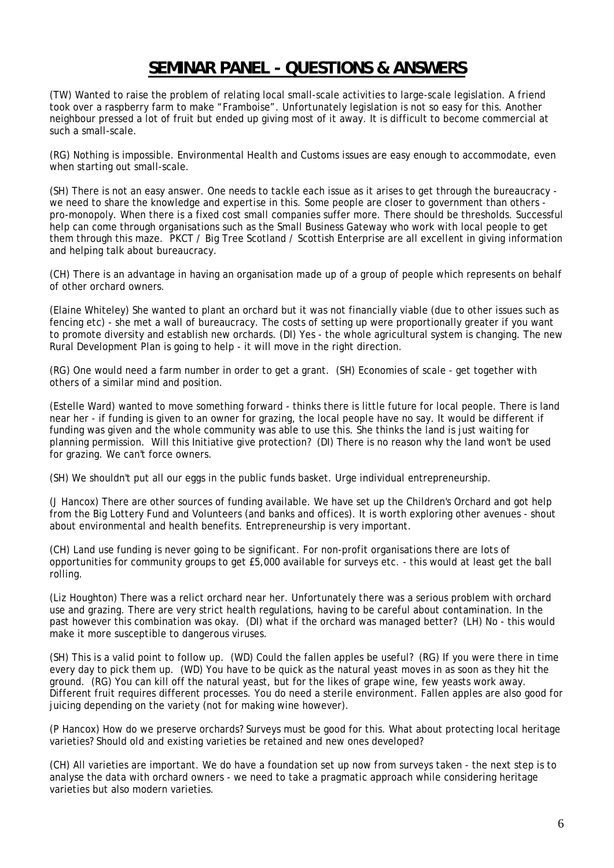### **SEMINAR PANEL - QUESTIONS & ANSWERS**

(TW) Wanted to raise the problem of relating local small-scale activities to large-scale legislation. A friend took over a raspberry farm to make "Framboise". Unfortunately legislation is not so easy for this. Another neighbour pressed a lot of fruit but ended up giving most of it away. It is difficult to become commercial at such a small-scale.

(RG) Nothing is impossible. Environmental Health and Customs issues are easy enough to accommodate, even when starting out small-scale.

(SH) There is not an easy answer. One needs to tackle each issue as it arises to get through the bureaucracy we need to share the knowledge and expertise in this. Some people are closer to government than others pro-monopoly. When there is a fixed cost small companies suffer more. There should be thresholds. Successful help can come through organisations such as the Small Business Gateway who work with local people to get them through this maze. PKCT / Big Tree Scotland / Scottish Enterprise are all excellent in giving information and helping talk about bureaucracy.

(CH) There is an advantage in having an organisation made up of a group of people which represents on behalf of other orchard owners.

(Elaine Whiteley) She wanted to plant an orchard but it was not financially viable (due to other issues such as fencing etc) - she met a wall of bureaucracy. The costs of setting up were proportionally greater if you want to promote diversity and establish new orchards. (DI) Yes - the whole agricultural system is changing. The new Rural Development Plan is going to help - it will move in the right direction.

(RG) One would need a farm number in order to get a grant. (SH) Economies of scale - get together with others of a similar mind and position.

(Estelle Ward) wanted to move something forward - thinks there is little future for local people. There is land near her - if funding is given to an owner for grazing, the local people have no say. It would be different if funding was given and the whole community was able to use this. She thinks the land is just waiting for planning permission. Will this Initiative give protection? (DI) There is no reason why the land won't be used for grazing. We can't force owners.

(SH) We shouldn't put all our eggs in the public funds basket. Urge individual entrepreneurship.

(J Hancox) There are other sources of funding available. We have set up the Children's Orchard and got help from the Big Lottery Fund and Volunteers (and banks and offices). It is worth exploring other avenues - shout about environmental and health benefits. Entrepreneurship is very important.

(CH) Land use funding is never going to be significant. For non-profit organisations there are lots of opportunities for community groups to get £5,000 available for surveys etc. - this would at least get the ball rolling.

(Liz Houghton) There was a relict orchard near her. Unfortunately there was a serious problem with orchard use and grazing. There are very strict health regulations, having to be careful about contamination. In the past however this combination was okay. (DI) what if the orchard was managed better? (LH) No - this would make it more susceptible to dangerous viruses.

(SH) This is a valid point to follow up. (WD) Could the fallen apples be useful? (RG) If you were there in time every day to pick them up. (WD) You have to be quick as the natural yeast moves in as soon as they hit the ground. (RG) You can kill off the natural yeast, but for the likes of grape wine, few yeasts work away. Different fruit requires different processes. You do need a sterile environment. Fallen apples are also good for juicing depending on the variety (not for making wine however).

(P Hancox) How do we preserve orchards? Surveys must be good for this. What about protecting local heritage varieties? Should old and existing varieties be retained and new ones developed?

(CH) All varieties are important. We do have a foundation set up now from surveys taken - the next step is to analyse the data with orchard owners - we need to take a pragmatic approach while considering heritage varieties but also modern varieties.